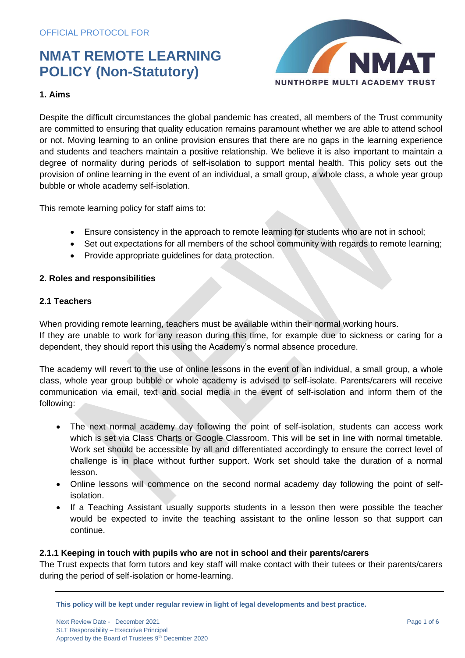

## **1. Aims**

Despite the difficult circumstances the global pandemic has created, all members of the Trust community are committed to ensuring that quality education remains paramount whether we are able to attend school or not. Moving learning to an online provision ensures that there are no gaps in the learning experience and students and teachers maintain a positive relationship. We believe it is also important to maintain a degree of normality during periods of self-isolation to support mental health. This policy sets out the provision of online learning in the event of an individual, a small group, a whole class, a whole year group bubble or whole academy self-isolation.

This remote learning policy for staff aims to:

- Ensure consistency in the approach to remote learning for students who are not in school;
- Set out expectations for all members of the school community with regards to remote learning;
- Provide appropriate guidelines for data protection.

### **2. Roles and responsibilities**

## **2.1 Teachers**

When providing remote learning, teachers must be available within their normal working hours. If they are unable to work for any reason during this time, for example due to sickness or caring for a dependent, they should report this using the Academy's normal absence procedure.

The academy will revert to the use of online lessons in the event of an individual, a small group, a whole class, whole year group bubble or whole academy is advised to self-isolate. Parents/carers will receive communication via email, text and social media in the event of self-isolation and inform them of the following:

- The next normal academy day following the point of self-isolation, students can access work which is set via Class Charts or Google Classroom. This will be set in line with normal timetable. Work set should be accessible by all and differentiated accordingly to ensure the correct level of challenge is in place without further support. Work set should take the duration of a normal lesson.
- Online lessons will commence on the second normal academy day following the point of selfisolation.
- If a Teaching Assistant usually supports students in a lesson then were possible the teacher would be expected to invite the teaching assistant to the online lesson so that support can continue.

## **2.1.1 Keeping in touch with pupils who are not in school and their parents/carers**

The Trust expects that form tutors and key staff will make contact with their tutees or their parents/carers during the period of self-isolation or home-learning.

**This policy will be kept under regular review in light of legal developments and best practice.**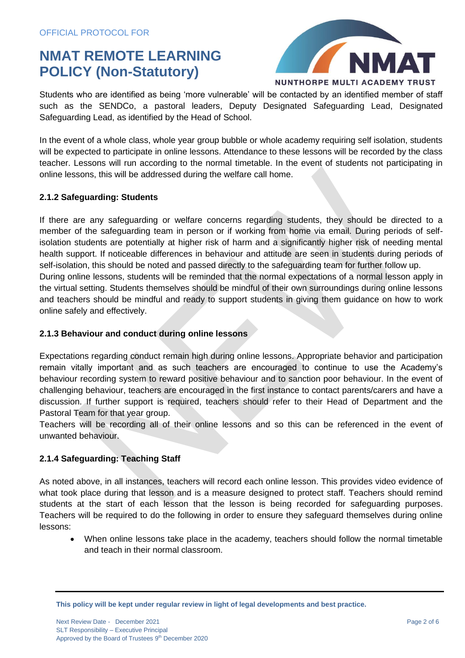

Students who are identified as being 'more vulnerable' will be contacted by an identified member of staff such as the SENDCo, a pastoral leaders, Deputy Designated Safeguarding Lead, Designated Safeguarding Lead, as identified by the Head of School.

In the event of a whole class, whole year group bubble or whole academy requiring self isolation, students will be expected to participate in online lessons. Attendance to these lessons will be recorded by the class teacher. Lessons will run according to the normal timetable. In the event of students not participating in online lessons, this will be addressed during the welfare call home.

### **2.1.2 Safeguarding: Students**

If there are any safeguarding or welfare concerns regarding students, they should be directed to a member of the safeguarding team in person or if working from home via email. During periods of selfisolation students are potentially at higher risk of harm and a significantly higher risk of needing mental health support. If noticeable differences in behaviour and attitude are seen in students during periods of self-isolation, this should be noted and passed directly to the safeguarding team for further follow up. During online lessons, students will be reminded that the normal expectations of a normal lesson apply in the virtual setting. Students themselves should be mindful of their own surroundings during online lessons and teachers should be mindful and ready to support students in giving them guidance on how to work online safely and effectively.

### **2.1.3 Behaviour and conduct during online lessons**

Expectations regarding conduct remain high during online lessons. Appropriate behavior and participation remain vitally important and as such teachers are encouraged to continue to use the Academy's behaviour recording system to reward positive behaviour and to sanction poor behaviour. In the event of challenging behaviour, teachers are encouraged in the first instance to contact parents/carers and have a discussion. If further support is required, teachers should refer to their Head of Department and the Pastoral Team for that year group.

Teachers will be recording all of their online lessons and so this can be referenced in the event of unwanted behaviour.

## **2.1.4 Safeguarding: Teaching Staff**

As noted above, in all instances, teachers will record each online lesson. This provides video evidence of what took place during that lesson and is a measure designed to protect staff. Teachers should remind students at the start of each lesson that the lesson is being recorded for safeguarding purposes. Teachers will be required to do the following in order to ensure they safeguard themselves during online lessons:

• When online lessons take place in the academy, teachers should follow the normal timetable and teach in their normal classroom.

**This policy will be kept under regular review in light of legal developments and best practice.**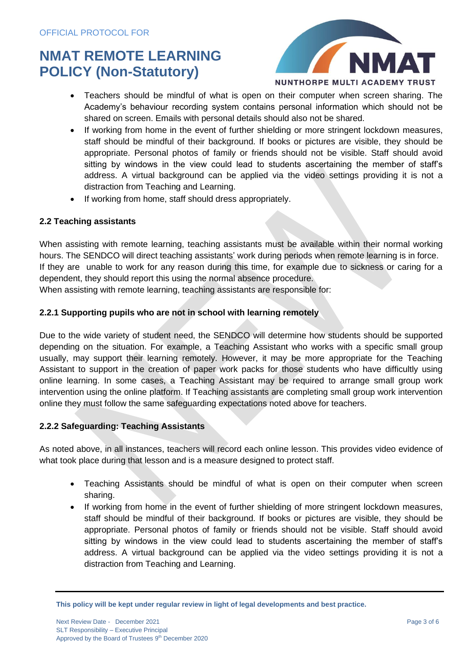

- Teachers should be mindful of what is open on their computer when screen sharing. The Academy's behaviour recording system contains personal information which should not be shared on screen. Emails with personal details should also not be shared.
- If working from home in the event of further shielding or more stringent lockdown measures, staff should be mindful of their background. If books or pictures are visible, they should be appropriate. Personal photos of family or friends should not be visible. Staff should avoid sitting by windows in the view could lead to students ascertaining the member of staff's address. A virtual background can be applied via the video settings providing it is not a distraction from Teaching and Learning.
- If working from home, staff should dress appropriately.

## **2.2 Teaching assistants**

When assisting with remote learning, teaching assistants must be available within their normal working hours. The SENDCO will direct teaching assistants' work during periods when remote learning is in force. If they are unable to work for any reason during this time, for example due to sickness or caring for a dependent, they should report this using the normal absence procedure.

When assisting with remote learning, teaching assistants are responsible for:

## **2.2.1 Supporting pupils who are not in school with learning remotely**

Due to the wide variety of student need, the SENDCO will determine how students should be supported depending on the situation. For example, a Teaching Assistant who works with a specific small group usually, may support their learning remotely. However, it may be more appropriate for the Teaching Assistant to support in the creation of paper work packs for those students who have difficultly using online learning. In some cases, a Teaching Assistant may be required to arrange small group work intervention using the online platform. If Teaching assistants are completing small group work intervention online they must follow the same safeguarding expectations noted above for teachers.

### **2.2.2 Safeguarding: Teaching Assistants**

As noted above, in all instances, teachers will record each online lesson. This provides video evidence of what took place during that lesson and is a measure designed to protect staff.

- Teaching Assistants should be mindful of what is open on their computer when screen sharing.
- If working from home in the event of further shielding of more stringent lockdown measures, staff should be mindful of their background. If books or pictures are visible, they should be appropriate. Personal photos of family or friends should not be visible. Staff should avoid sitting by windows in the view could lead to students ascertaining the member of staff's address. A virtual background can be applied via the video settings providing it is not a distraction from Teaching and Learning.

**This policy will be kept under regular review in light of legal developments and best practice.**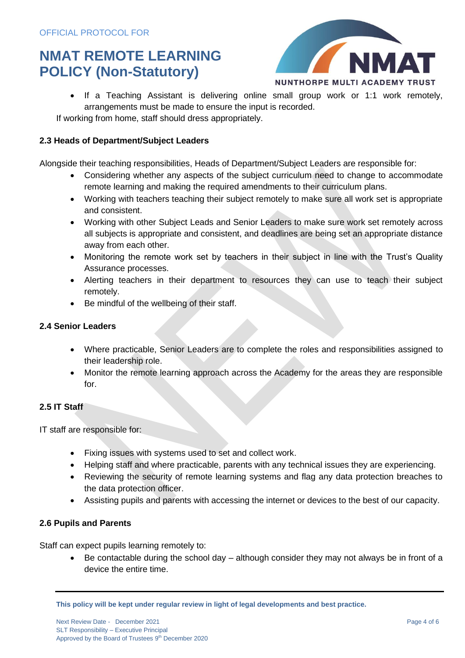

• If a Teaching Assistant is delivering online small group work or 1:1 work remotely, arrangements must be made to ensure the input is recorded.

If working from home, staff should dress appropriately.

### **2.3 Heads of Department/Subject Leaders**

Alongside their teaching responsibilities, Heads of Department/Subject Leaders are responsible for:

- Considering whether any aspects of the subject curriculum need to change to accommodate remote learning and making the required amendments to their curriculum plans.
- Working with teachers teaching their subject remotely to make sure all work set is appropriate and consistent.
- Working with other Subject Leads and Senior Leaders to make sure work set remotely across all subjects is appropriate and consistent, and deadlines are being set an appropriate distance away from each other.
- Monitoring the remote work set by teachers in their subject in line with the Trust's Quality Assurance processes.
- Alerting teachers in their department to resources they can use to teach their subject remotely.
- Be mindful of the wellbeing of their staff.

## **2.4 Senior Leaders**

- Where practicable, Senior Leaders are to complete the roles and responsibilities assigned to their leadership role.
- Monitor the remote learning approach across the Academy for the areas they are responsible for.

## **2.5 IT Staff**

IT staff are responsible for:

- Fixing issues with systems used to set and collect work.
- Helping staff and where practicable, parents with any technical issues they are experiencing.
- Reviewing the security of remote learning systems and flag any data protection breaches to the data protection officer.
- Assisting pupils and parents with accessing the internet or devices to the best of our capacity.

## **2.6 Pupils and Parents**

Staff can expect pupils learning remotely to:

• Be contactable during the school day – although consider they may not always be in front of a device the entire time.

**This policy will be kept under regular review in light of legal developments and best practice.**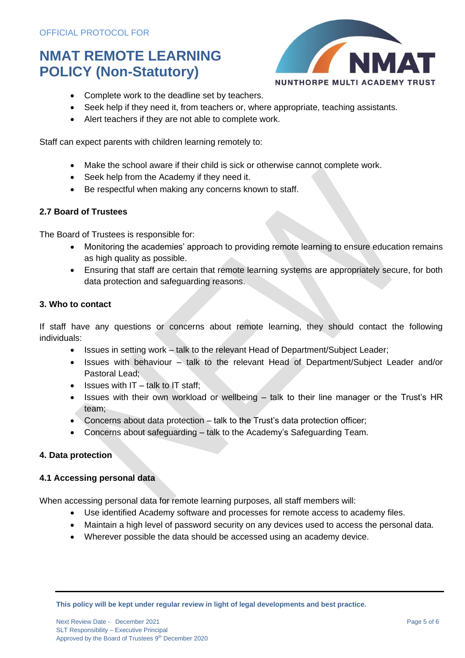

- Complete work to the deadline set by teachers.
- Seek help if they need it, from teachers or, where appropriate, teaching assistants.
- Alert teachers if they are not able to complete work.

Staff can expect parents with children learning remotely to:

- Make the school aware if their child is sick or otherwise cannot complete work.
- Seek help from the Academy if they need it.
- Be respectful when making any concerns known to staff.

### **2.7 Board of Trustees**

The Board of Trustees is responsible for:

- Monitoring the academies' approach to providing remote learning to ensure education remains as high quality as possible.
- Ensuring that staff are certain that remote learning systems are appropriately secure, for both data protection and safeguarding reasons.

### **3. Who to contact**

If staff have any questions or concerns about remote learning, they should contact the following individuals:

- Issues in setting work talk to the relevant Head of Department/Subject Leader;
- Issues with behaviour talk to the relevant Head of Department/Subject Leader and/or Pastoral Lead;
- $\bullet$  Issues with IT talk to IT staff:
- Issues with their own workload or wellbeing talk to their line manager or the Trust's HR team;
- Concerns about data protection talk to the Trust's data protection officer;
- Concerns about safeguarding talk to the Academy's Safeguarding Team.

### **4. Data protection**

### **4.1 Accessing personal data**

When accessing personal data for remote learning purposes, all staff members will:

- Use identified Academy software and processes for remote access to academy files.
- Maintain a high level of password security on any devices used to access the personal data.
- Wherever possible the data should be accessed using an academy device.

**This policy will be kept under regular review in light of legal developments and best practice.**